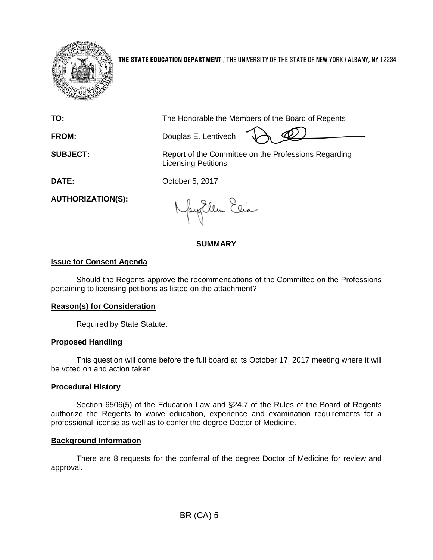

**THE STATE EDUCATION DEPARTMENT** / THE UNIVERSITY OF THE STATE OF NEW YORK / ALBANY, NY 12234

**TO:** The Honorable the Members of the Board of Regents

**FROM:** Douglas E. Lentivech

**SUBJECT:** Report of the Committee on the Professions Regarding Licensing Petitions

**DATE:** October 5, 2017

**AUTHORIZATION(S):**

fayillen Elia

## **SUMMARY**

# **Issue for Consent Agenda**

Should the Regents approve the recommendations of the Committee on the Professions pertaining to licensing petitions as listed on the attachment?

### **Reason(s) for Consideration**

Required by State Statute.

### **Proposed Handling**

This question will come before the full board at its October 17, 2017 meeting where it will be voted on and action taken.

# **Procedural History**

Section 6506(5) of the Education Law and §24.7 of the Rules of the Board of Regents authorize the Regents to waive education, experience and examination requirements for a professional license as well as to confer the degree Doctor of Medicine.

### **Background Information**

There are 8 requests for the conferral of the degree Doctor of Medicine for review and approval.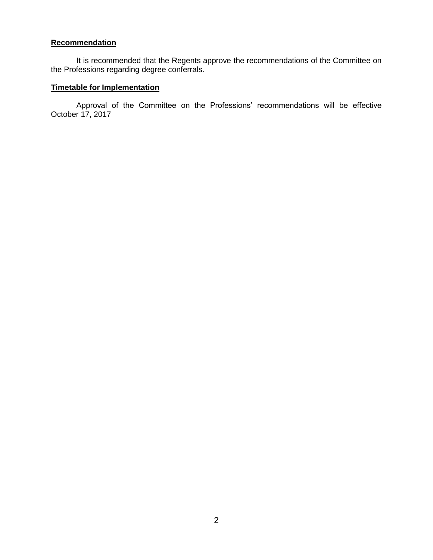## **Recommendation**

It is recommended that the Regents approve the recommendations of the Committee on the Professions regarding degree conferrals.

# **Timetable for Implementation**

Approval of the Committee on the Professions' recommendations will be effective October 17, 2017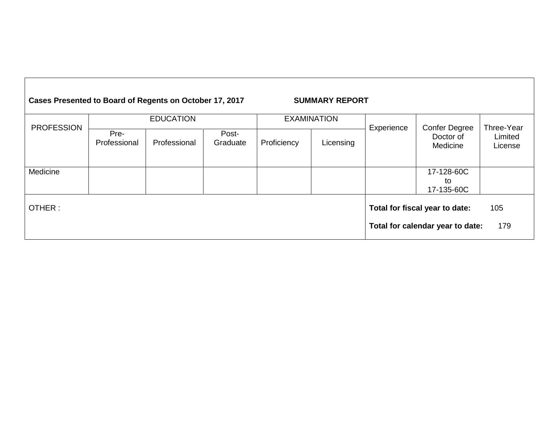| Cases Presented to Board of Regents on October 17, 2017 |                      | <b>SUMMARY REPORT</b> |                   |                    |           |            |                                                                    |                                  |
|---------------------------------------------------------|----------------------|-----------------------|-------------------|--------------------|-----------|------------|--------------------------------------------------------------------|----------------------------------|
|                                                         | <b>EDUCATION</b>     |                       |                   | <b>EXAMINATION</b> |           |            |                                                                    |                                  |
| <b>PROFESSION</b>                                       | Pre-<br>Professional | Professional          | Post-<br>Graduate | Proficiency        | Licensing | Experience | <b>Confer Degree</b><br>Doctor of<br>Medicine                      | Three-Year<br>Limited<br>License |
| Medicine                                                |                      |                       |                   |                    |           |            | 17-128-60C<br>to<br>17-135-60C                                     |                                  |
| OTHER:                                                  |                      |                       |                   |                    |           |            | Total for fiscal year to date:<br>Total for calendar year to date: | 105<br>179                       |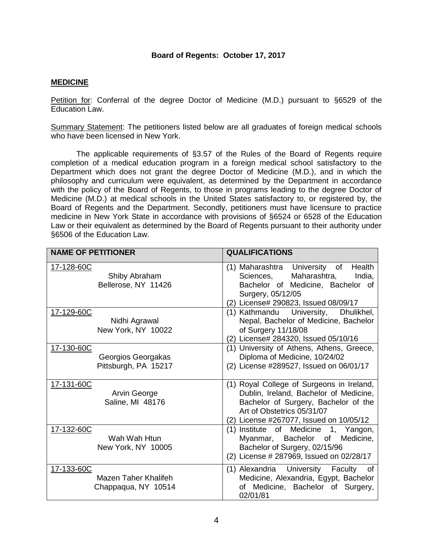#### **Board of Regents: October 17, 2017**

#### **MEDICINE**

Petition for: Conferral of the degree Doctor of Medicine (M.D.) pursuant to §6529 of the Education Law.

Summary Statement: The petitioners listed below are all graduates of foreign medical schools who have been licensed in New York.

The applicable requirements of §3.57 of the Rules of the Board of Regents require completion of a medical education program in a foreign medical school satisfactory to the Department which does not grant the degree Doctor of Medicine (M.D.), and in which the philosophy and curriculum were equivalent, as determined by the Department in accordance with the policy of the Board of Regents, to those in programs leading to the degree Doctor of Medicine (M.D.) at medical schools in the United States satisfactory to, or registered by, the Board of Regents and the Department. Secondly, petitioners must have licensure to practice medicine in New York State in accordance with provisions of §6524 or 6528 of the Education Law or their equivalent as determined by the Board of Regents pursuant to their authority under §6506 of the Education Law.

| <b>NAME OF PETITIONER</b>                                 | <b>QUALIFICATIONS</b>                                                                                                                                                                                |
|-----------------------------------------------------------|------------------------------------------------------------------------------------------------------------------------------------------------------------------------------------------------------|
| 17-128-60C<br>Shiby Abraham<br>Bellerose, NY 11426        | (1) Maharashtra University of Health<br>Sciences, Maharashtra,<br>India,<br>Bachelor of Medicine, Bachelor of<br>Surgery, 05/12/05<br>(2) License# 290823, Issued 08/09/17                           |
| 17-129-60C<br>Nidhi Agrawal<br>New York, NY 10022         | (1) Kathmandu University,<br>Dhulikhel,<br>Nepal, Bachelor of Medicine, Bachelor<br>of Surgery 11/18/08<br>(2) License# 284320, Issued 05/10/16                                                      |
| 17-130-60C<br>Georgios Georgakas<br>Pittsburgh, PA 15217  | (1) University of Athens, Athens, Greece,<br>Diploma of Medicine, 10/24/02<br>(2) License #289527, Issued on 06/01/17                                                                                |
| 17-131-60C<br>Arvin George<br>Saline, MI 48176            | (1) Royal College of Surgeons in Ireland,<br>Dublin, Ireland, Bachelor of Medicine,<br>Bachelor of Surgery, Bachelor of the<br>Art of Obstetrics 05/31/07<br>(2) License #267077, Issued on 10/05/12 |
| 17-132-60C<br>Wah Wah Htun<br>New York, NY 10005          | (1) Institute of Medicine 1, Yangon,<br>Myanmar, Bachelor of Medicine,<br>Bachelor of Surgery, 02/15/96<br>(2) License # 287969, Issued on 02/28/17                                                  |
| 17-133-60C<br>Mazen Taher Khalifeh<br>Chappaqua, NY 10514 | (1) Alexandria University Faculty of<br>Medicine, Alexandria, Egypt, Bachelor<br>of Medicine, Bachelor of Surgery,<br>02/01/81                                                                       |